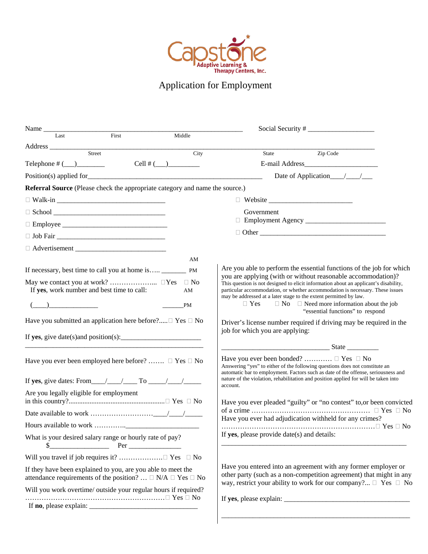

# Application for Employment

| Name                                                                                                                                     |               |                                                                                                                                                                                                                                                                                                   |
|------------------------------------------------------------------------------------------------------------------------------------------|---------------|---------------------------------------------------------------------------------------------------------------------------------------------------------------------------------------------------------------------------------------------------------------------------------------------------|
| Last<br>First                                                                                                                            | Middle        |                                                                                                                                                                                                                                                                                                   |
|                                                                                                                                          | City          | State Zip Code                                                                                                                                                                                                                                                                                    |
| Telephone $\#$ (___)___________                                                                                                          | Cell # $(\_)$ |                                                                                                                                                                                                                                                                                                   |
|                                                                                                                                          |               |                                                                                                                                                                                                                                                                                                   |
| <b>Referral Source</b> (Please check the appropriate category and name the source.)                                                      |               |                                                                                                                                                                                                                                                                                                   |
|                                                                                                                                          |               | □ Website <u>_______________________</u>                                                                                                                                                                                                                                                          |
|                                                                                                                                          |               | Government                                                                                                                                                                                                                                                                                        |
|                                                                                                                                          |               |                                                                                                                                                                                                                                                                                                   |
|                                                                                                                                          |               |                                                                                                                                                                                                                                                                                                   |
|                                                                                                                                          |               |                                                                                                                                                                                                                                                                                                   |
|                                                                                                                                          | AM            |                                                                                                                                                                                                                                                                                                   |
|                                                                                                                                          |               | Are you able to perform the essential functions of the job for which                                                                                                                                                                                                                              |
|                                                                                                                                          | $\Box$ No     | you are applying (with or without reasonable accommodation)?<br>This question is not designed to elicit information about an applicant's disability,                                                                                                                                              |
| If yes, work number and best time to call:                                                                                               | AM            | particular accommodation, or whether accommodation is necessary. These issues<br>may be addressed at a later stage to the extent permitted by law.                                                                                                                                                |
| $\begin{pmatrix} 1 & 1 \\ 1 & 1 \end{pmatrix}$                                                                                           | PM            | $\Box$ Yes<br>$\Box$ No $\Box$ Need more information about the job<br>"essential functions" to respond                                                                                                                                                                                            |
| Have you submitted an application here before?□ Yes □ No                                                                                 |               | Driver's license number required if driving may be required in the<br>job for which you are applying:                                                                                                                                                                                             |
| If yes, give date(s) and position(s): $\frac{1}{2}$                                                                                      |               |                                                                                                                                                                                                                                                                                                   |
| Have you ever been employed here before? $\Box$ Yes $\Box$ No                                                                            |               | Have you ever been bonded?  □ Yes □ No<br>Answering "yes" to either of the following questions does not constitute an<br>automatic bar to employment. Factors such as date of the offense, seriousness and                                                                                        |
| If yes, give dates: From $\angle$ $\angle$ $\angle$ To $\angle$ / $\angle$                                                               |               | nature of the violation, rehabilitation and position applied for will be taken into<br>account.                                                                                                                                                                                                   |
| Are you legally eligible for employment                                                                                                  |               | Have you ever pleaded "guilty" or "no contest" to, or been convicted                                                                                                                                                                                                                              |
|                                                                                                                                          |               |                                                                                                                                                                                                                                                                                                   |
|                                                                                                                                          |               | Have you ever had adjudication withheld for any crimes?                                                                                                                                                                                                                                           |
| What is your desired salary range or hourly rate of pay?<br>\$                                                                           |               | If yes, please provide date(s) and details:                                                                                                                                                                                                                                                       |
|                                                                                                                                          |               |                                                                                                                                                                                                                                                                                                   |
| If they have been explained to you, are you able to meet the<br>attendance requirements of the position? $\Box$ N/A $\Box$ Yes $\Box$ No |               | Have you entered into an agreement with any former employer or<br>other party (such as a non-competition agreement) that might in any<br>way, restrict your ability to work for our company? $\Box$ Yes $\Box$ No                                                                                 |
| Will you work overtime/ outside your regular hours if required?                                                                          |               |                                                                                                                                                                                                                                                                                                   |
|                                                                                                                                          |               | If yes, please explain: $\frac{1}{2}$ = $\frac{1}{2}$ = $\frac{1}{2}$ = $\frac{1}{2}$ = $\frac{1}{2}$ = $\frac{1}{2}$ = $\frac{1}{2}$ = $\frac{1}{2}$ = $\frac{1}{2}$ = $\frac{1}{2}$ = $\frac{1}{2}$ = $\frac{1}{2}$ = $\frac{1}{2}$ = $\frac{1}{2}$ = $\frac{1}{2}$ = $\frac{1}{2}$ = $\frac{1$ |
|                                                                                                                                          |               |                                                                                                                                                                                                                                                                                                   |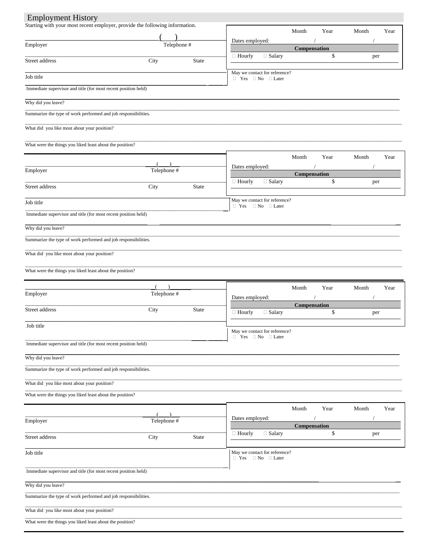### **Employment History**

| Starting with your most recent employer, provide the following information. |             |       |                                                                    | Month        | Year | Month | Year |
|-----------------------------------------------------------------------------|-------------|-------|--------------------------------------------------------------------|--------------|------|-------|------|
| Employer                                                                    | Telephone # |       | Dates employed:                                                    |              |      |       |      |
|                                                                             |             |       |                                                                    | Compensation |      |       |      |
| Street address                                                              | City        | State | □ Salary<br>$\Box$ Hourly                                          |              | \$   | per   |      |
| Job title                                                                   |             |       | May we contact for reference?<br>$\Box$ Yes $\Box$ No $\Box$ Later |              |      |       |      |
| Immediate supervisor and title (for most recent position held)              |             |       |                                                                    |              |      |       |      |
| Why did you leave?                                                          |             |       |                                                                    |              |      |       |      |
| Summarize the type of work performed and job responsibilities.              |             |       |                                                                    |              |      |       |      |
|                                                                             |             |       |                                                                    |              |      |       |      |
| What did you like most about your position?                                 |             |       |                                                                    |              |      |       |      |
| What were the things you liked least about the position?                    |             |       |                                                                    |              |      |       |      |
|                                                                             |             |       |                                                                    | Month        | Year | Month | Year |
| Employer                                                                    | Telephone # |       | Dates employed:                                                    |              |      |       |      |
|                                                                             |             |       |                                                                    | Compensation |      |       |      |
| Street address                                                              | City        | State | □ Salary<br>$\Box$ Hourly                                          |              | \$   | per   |      |
| Job title                                                                   |             |       | May we contact for reference?                                      |              |      |       |      |
| Immediate supervisor and title (for most recent position held)              |             |       | $\Box$ Yes $\Box$ No $\Box$ Later                                  |              |      |       |      |
|                                                                             |             |       |                                                                    |              |      |       |      |
| Why did you leave?                                                          |             |       |                                                                    |              |      |       |      |
| Summarize the type of work performed and job responsibilities.              |             |       |                                                                    |              |      |       |      |
| What did you like most about your position?                                 |             |       |                                                                    |              |      |       |      |
| What were the things you liked least about the position?                    |             |       |                                                                    |              |      |       |      |
|                                                                             |             |       |                                                                    |              |      |       |      |
|                                                                             |             |       |                                                                    | Month        | Year | Month | Year |
| Employer                                                                    | Telephone # |       | Dates employed:                                                    |              |      |       |      |
| Street address                                                              | City        | State | □ Salary<br>$\Box$ Hourly                                          | Compensation | \$   | per   |      |
| Job title                                                                   |             |       |                                                                    |              |      |       |      |
|                                                                             |             |       | May we contact for reference?                                      |              |      |       |      |
| Immediate supervisor and title (for most recent position held)              |             |       | $\Box$ Yes $\Box$ No $\Box$ Later                                  |              |      |       |      |
| Why did you leave?                                                          |             |       |                                                                    |              |      |       |      |
| Summarize the type of work performed and job responsibilities.              |             |       |                                                                    |              |      |       |      |
| What did you like most about your position?                                 |             |       |                                                                    |              |      |       |      |
| What were the things you liked least about the position?                    |             |       |                                                                    |              |      |       |      |
|                                                                             |             |       |                                                                    |              |      |       |      |
|                                                                             |             |       |                                                                    | Month        | Year | Month | Year |
| Employer                                                                    | Telephone # |       | Dates employed:                                                    | Compensation |      |       |      |
| Street address                                                              | City        | State | $\Box$ Salary<br>$\Box$ Hourly                                     |              | \$   | per   |      |
|                                                                             |             |       |                                                                    |              |      |       |      |
| Job title                                                                   |             |       | May we contact for reference?<br>$\Box$ Yes $\Box$ No $\Box$ Later |              |      |       |      |
| Immediate supervisor and title (for most recent position held)              |             |       |                                                                    |              |      |       |      |
|                                                                             |             |       |                                                                    |              |      |       |      |
| Why did you leave?                                                          |             |       |                                                                    |              |      |       |      |
| Summarize the type of work performed and job responsibilities.              |             |       |                                                                    |              |      |       |      |
| What did you like most about your position?                                 |             |       |                                                                    |              |      |       |      |
| What were the things you liked least about the position?                    |             |       |                                                                    |              |      |       |      |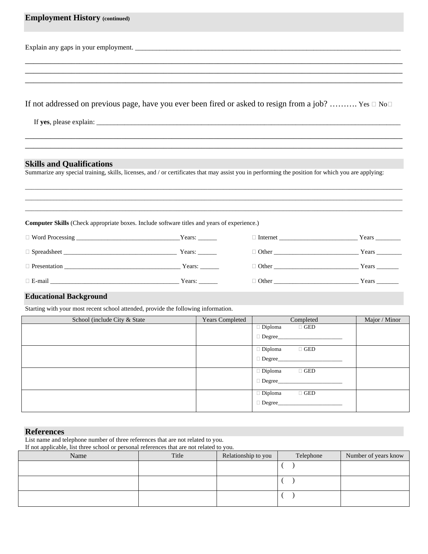| <b>Employment History (continued)</b>                                                                                                                                                                                                             |  |                        |                                           |               |
|---------------------------------------------------------------------------------------------------------------------------------------------------------------------------------------------------------------------------------------------------|--|------------------------|-------------------------------------------|---------------|
|                                                                                                                                                                                                                                                   |  |                        |                                           |               |
|                                                                                                                                                                                                                                                   |  |                        |                                           |               |
|                                                                                                                                                                                                                                                   |  |                        |                                           |               |
| If not addressed on previous page, have you ever been fired or asked to resign from a job? Yes $\Box$ No $\Box$                                                                                                                                   |  |                        |                                           |               |
|                                                                                                                                                                                                                                                   |  |                        |                                           |               |
|                                                                                                                                                                                                                                                   |  |                        |                                           |               |
|                                                                                                                                                                                                                                                   |  |                        |                                           |               |
| Summarize any special training, skills, licenses, and / or certificates that may assist you in performing the position for which you are applying:<br>Computer Skills (Check appropriate boxes. Include software titles and years of experience.) |  |                        |                                           |               |
|                                                                                                                                                                                                                                                   |  |                        |                                           |               |
|                                                                                                                                                                                                                                                   |  |                        | $\Box$ Other Years Years                  |               |
| $E$ -mail Years:                                                                                                                                                                                                                                  |  |                        | $\Box$ Other $\Box$                       |               |
| <b>Educational Background</b>                                                                                                                                                                                                                     |  |                        |                                           |               |
| Starting with your most recent school attended, provide the following information.                                                                                                                                                                |  |                        |                                           |               |
| School (include City & State                                                                                                                                                                                                                      |  | <b>Years Completed</b> | Completed<br>$\Box$ GED<br>$\Box$ Diploma | Major / Minor |
|                                                                                                                                                                                                                                                   |  |                        | $\Box$ Degree                             |               |
|                                                                                                                                                                                                                                                   |  |                        | $\Box$ Diploma<br>$\Box$ GED<br>□ Degree  |               |

| List name and telephone number of three references that are not related to you.<br>If not applicable, list three school or personal references that are not related to you. |       |                     |           |                      |  |
|-----------------------------------------------------------------------------------------------------------------------------------------------------------------------------|-------|---------------------|-----------|----------------------|--|
| Name                                                                                                                                                                        | Title | Relationship to you | Telephone | Number of years know |  |
|                                                                                                                                                                             |       |                     |           |                      |  |
|                                                                                                                                                                             |       |                     |           |                      |  |
|                                                                                                                                                                             |       |                     |           |                      |  |
|                                                                                                                                                                             |       |                     |           |                      |  |
|                                                                                                                                                                             |       |                     |           |                      |  |

**References**

Diploma GED

 $\Box$  Diploma  $\Box$  GED

 $\hfill\Box$ <br> <br> Degree\_

 $\hfill\Box$ <br> <br> Degree\_